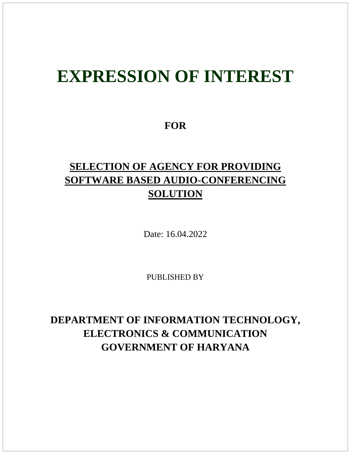# **EXPRESSION OF INTEREST**

### **FOR**

# **SELECTION OF AGENCY FOR PROVIDING SOFTWARE BASED AUDIO-CONFERENCING SOLUTION**

Date: 16.04.2022

PUBLISHED BY

# **DEPARTMENT OF INFORMATION TECHNOLOGY, ELECTRONICS & COMMUNICATION GOVERNMENT OF HARYANA**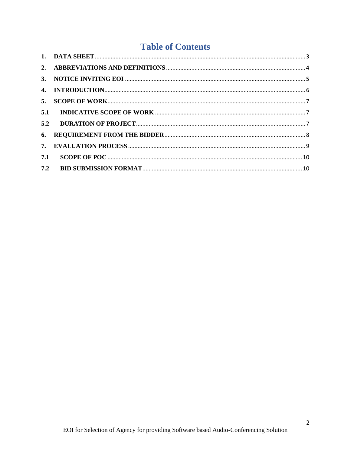## **Table of Contents**

| $\mathbf{3}$ . |  |
|----------------|--|
|                |  |
| 5.             |  |
| 5.1            |  |
| 5.2            |  |
| 6.             |  |
| 7.             |  |
| 7.1            |  |
| 7.2            |  |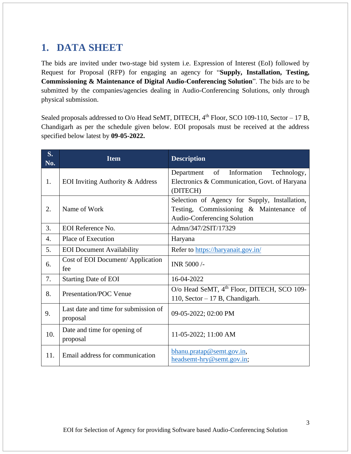# <span id="page-2-0"></span>**1. DATA SHEET**

The bids are invited under two-stage bid system i.e. Expression of Interest (EoI) followed by Request for Proposal (RFP) for engaging an agency for "**Supply, Installation, Testing, Commissioning & Maintenance of Digital Audio-Conferencing Solution**". The bids are to be submitted by the companies/agencies dealing in Audio-Conferencing Solutions, only through physical submission.

Sealed proposals addressed to O/o Head SeMT, DITECH, 4<sup>th</sup> Floor, SCO 109-110, Sector – 17 B, Chandigarh as per the schedule given below. EOI proposals must be received at the address specified below latest by **09-05-2022.**

| S.<br>No. | <b>Item</b>                                      | <b>Description</b>                                                                                                      |
|-----------|--------------------------------------------------|-------------------------------------------------------------------------------------------------------------------------|
| 1.        | EOI Inviting Authority & Address                 | Department of Information<br>Technology,<br>Electronics & Communication, Govt. of Haryana<br>(DITECH)                   |
| 2.        | Name of Work                                     | Selection of Agency for Supply, Installation,<br>Testing, Commissioning & Maintenance of<br>Audio-Conferencing Solution |
| 3.        | EOI Reference No.                                | Admn/347/2SIT/17329                                                                                                     |
| 4.        | Place of Execution                               | Haryana                                                                                                                 |
| 5.        | <b>EOI</b> Document Availability                 | Refer to https://haryanait.gov.in/                                                                                      |
| 6.        | Cost of EOI Document/ Application<br>fee         | INR 5000/-                                                                                                              |
| 7.        | <b>Starting Date of EOI</b>                      | 16-04-2022                                                                                                              |
| 8.        | <b>Presentation/POC Venue</b>                    | O/o Head SeMT, 4 <sup>th</sup> Floor, DITECH, SCO 109-<br>110, Sector $-17B$ , Chandigarh.                              |
| 9.        | Last date and time for submission of<br>proposal | 09-05-2022; 02:00 PM                                                                                                    |
| 10.       | Date and time for opening of<br>proposal         | 11-05-2022; 11:00 AM                                                                                                    |
| 11.       | Email address for communication                  | bhanu.pratap@semt.gov.in,<br>headsemt-hry@semt.gov.in;                                                                  |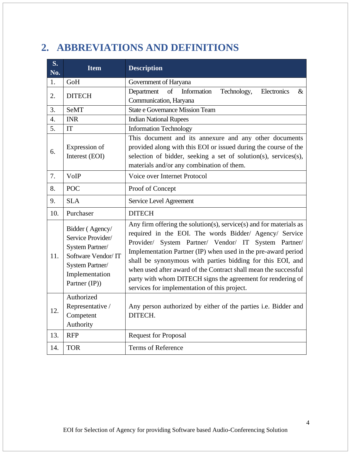# <span id="page-3-0"></span>**2. ABBREVIATIONS AND DEFINITIONS**

| S.<br>No.        | <b>Item</b>                                                                                                                         | <b>Description</b>                                                                                                                                                                                                                                                                                                                                                                                                                                                                                    |  |  |
|------------------|-------------------------------------------------------------------------------------------------------------------------------------|-------------------------------------------------------------------------------------------------------------------------------------------------------------------------------------------------------------------------------------------------------------------------------------------------------------------------------------------------------------------------------------------------------------------------------------------------------------------------------------------------------|--|--|
| 1.               | GoH                                                                                                                                 | Government of Haryana                                                                                                                                                                                                                                                                                                                                                                                                                                                                                 |  |  |
| 2.               | <b>DITECH</b>                                                                                                                       | Electronics<br>of<br>Information<br>Technology,<br>$\&$<br>Department<br>Communication, Haryana                                                                                                                                                                                                                                                                                                                                                                                                       |  |  |
| 3.               | <b>SeMT</b>                                                                                                                         | <b>State e Governance Mission Team</b>                                                                                                                                                                                                                                                                                                                                                                                                                                                                |  |  |
| $\overline{4}$ . | <b>INR</b>                                                                                                                          | <b>Indian National Rupees</b>                                                                                                                                                                                                                                                                                                                                                                                                                                                                         |  |  |
| 5.               | IT                                                                                                                                  | <b>Information Technology</b>                                                                                                                                                                                                                                                                                                                                                                                                                                                                         |  |  |
| 6.               | Expression of<br>Interest (EOI)                                                                                                     | This document and its annexure and any other documents<br>provided along with this EOI or issued during the course of the<br>selection of bidder, seeking a set of solution(s), services(s),<br>materials and/or any combination of them.                                                                                                                                                                                                                                                             |  |  |
| 7.               | VoIP                                                                                                                                | Voice over Internet Protocol                                                                                                                                                                                                                                                                                                                                                                                                                                                                          |  |  |
| 8.               | <b>POC</b>                                                                                                                          | Proof of Concept                                                                                                                                                                                                                                                                                                                                                                                                                                                                                      |  |  |
| 9.               | <b>SLA</b>                                                                                                                          | Service Level Agreement                                                                                                                                                                                                                                                                                                                                                                                                                                                                               |  |  |
| 10.              | Purchaser                                                                                                                           | <b>DITECH</b>                                                                                                                                                                                                                                                                                                                                                                                                                                                                                         |  |  |
| 11.              | Bidder (Agency/<br>Service Provider/<br>System Partner/<br>Software Vendor/IT<br>System Partner/<br>Implementation<br>Partner (IP)) | Any firm offering the solution(s), service(s) and for materials as<br>required in the EOI. The words Bidder/ Agency/ Service<br>Provider/ System Partner/ Vendor/ IT System Partner/<br>Implementation Partner (IP) when used in the pre-award period<br>shall be synonymous with parties bidding for this EOI, and<br>when used after award of the Contract shall mean the successful<br>party with whom DITECH signs the agreement for rendering of<br>services for implementation of this project. |  |  |
| 12.              | Authorized<br>Representative /<br>Competent<br>Authority                                                                            | Any person authorized by either of the parties i.e. Bidder and<br>DITECH.                                                                                                                                                                                                                                                                                                                                                                                                                             |  |  |
| 13.              | <b>RFP</b>                                                                                                                          | <b>Request for Proposal</b>                                                                                                                                                                                                                                                                                                                                                                                                                                                                           |  |  |
| 14.              | <b>TOR</b>                                                                                                                          | <b>Terms of Reference</b>                                                                                                                                                                                                                                                                                                                                                                                                                                                                             |  |  |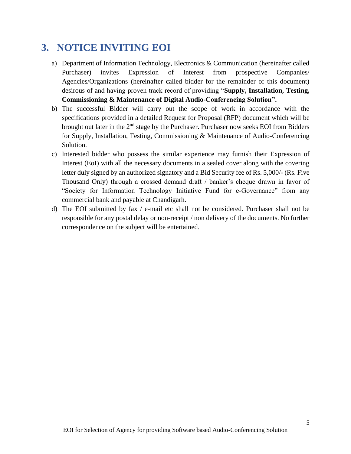## <span id="page-4-0"></span>**3. NOTICE INVITING EOI**

- a) Department of Information Technology, Electronics & Communication (hereinafter called Purchaser) invites Expression of Interest from prospective Companies/ Agencies/Organizations (hereinafter called bidder for the remainder of this document) desirous of and having proven track record of providing "**Supply, Installation, Testing, Commissioning & Maintenance of Digital Audio-Conferencing Solution".**
- b) The successful Bidder will carry out the scope of work in accordance with the specifications provided in a detailed Request for Proposal (RFP) document which will be brought out later in the  $2<sup>nd</sup>$  stage by the Purchaser. Purchaser now seeks EOI from Bidders for Supply, Installation, Testing, Commissioning & Maintenance of Audio-Conferencing Solution.
- c) Interested bidder who possess the similar experience may furnish their Expression of Interest (EoI) with all the necessary documents in a sealed cover along with the covering letter duly signed by an authorized signatory and a Bid Security fee of Rs. 5,000/- (Rs. Five Thousand Only) through a crossed demand draft / banker's cheque drawn in favor of "Society for Information Technology Initiative Fund for e-Governance" from any commercial bank and payable at Chandigarh.
- d) The EOI submitted by fax / e-mail etc shall not be considered. Purchaser shall not be responsible for any postal delay or non-receipt / non delivery of the documents. No further correspondence on the subject will be entertained.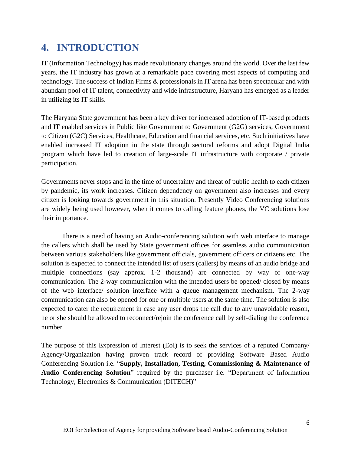### <span id="page-5-0"></span>**4. INTRODUCTION**

IT (Information Technology) has made revolutionary changes around the world. Over the last few years, the IT industry has grown at a remarkable pace covering most aspects of computing and technology. The success of Indian Firms & professionals in IT arena has been spectacular and with abundant pool of IT talent, connectivity and wide infrastructure, Haryana has emerged as a leader in utilizing its IT skills.

The Haryana State government has been a key driver for increased adoption of IT-based products and IT enabled services in Public like Government to Government (G2G) services, Government to Citizen (G2C) Services, Healthcare, Education and financial services, etc. Such initiatives have enabled increased IT adoption in the state through sectoral reforms and adopt Digital India program which have led to creation of large-scale IT infrastructure with corporate / private participation.

Governments never stops and in the time of uncertainty and threat of public health to each citizen by pandemic, its work increases. Citizen dependency on government also increases and every citizen is looking towards government in this situation. Presently Video Conferencing solutions are widely being used however, when it comes to calling feature phones, the VC solutions lose their importance.

There is a need of having an Audio-conferencing solution with web interface to manage the callers which shall be used by State government offices for seamless audio communication between various stakeholders like government officials, government officers or citizens etc. The solution is expected to connect the intended list of users (callers) by means of an audio bridge and multiple connections (say approx. 1-2 thousand) are connected by way of one-way communication. The 2-way communication with the intended users be opened/ closed by means of the web interface/ solution interface with a queue management mechanism. The 2-way communication can also be opened for one or multiple users at the same time. The solution is also expected to cater the requirement in case any user drops the call due to any unavoidable reason, he or she should be allowed to reconnect/rejoin the conference call by self-dialing the conference number.

The purpose of this Expression of Interest (EoI) is to seek the services of a reputed Company/ Agency/Organization having proven track record of providing Software Based Audio Conferencing Solution i.e. "**Supply, Installation, Testing, Commissioning & Maintenance of Audio Conferencing Solution**" required by the purchaser i.e. "Department of Information Technology, Electronics & Communication (DITECH)"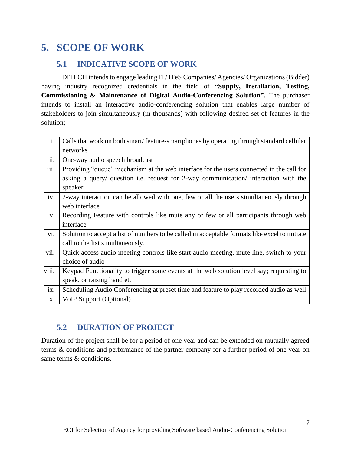# <span id="page-6-0"></span>**5. SCOPE OF WORK**

#### **5.1 INDICATIVE SCOPE OF WORK**

<span id="page-6-1"></span>DITECH intends to engage leading IT/ ITeS Companies/ Agencies/ Organizations (Bidder) having industry recognized credentials in the field of **"Supply, Installation, Testing, Commissioning & Maintenance of Digital Audio-Conferencing Solution".** The purchaser intends to install an interactive audio-conferencing solution that enables large number of stakeholders to join simultaneously (in thousands) with following desired set of features in the solution;

| i.    | Calls that work on both smart/feature-smartphones by operating through standard cellular       |  |  |
|-------|------------------------------------------------------------------------------------------------|--|--|
|       | networks                                                                                       |  |  |
| ii.   | One-way audio speech broadcast                                                                 |  |  |
| iii.  | Providing "queue" mechanism at the web interface for the users connected in the call for       |  |  |
|       | asking a query/ question i.e. request for 2-way communication/ interaction with the            |  |  |
|       | speaker                                                                                        |  |  |
| iv.   | 2-way interaction can be allowed with one, few or all the users simultaneously through         |  |  |
|       | web interface                                                                                  |  |  |
| V.    | Recording Feature with controls like mute any or few or all participants through web           |  |  |
|       | interface                                                                                      |  |  |
| vi.   | Solution to accept a list of numbers to be called in acceptable formats like excel to initiate |  |  |
|       | call to the list simultaneously.                                                               |  |  |
| vii.  | Quick access audio meeting controls like start audio meeting, mute line, switch to your        |  |  |
|       | choice of audio                                                                                |  |  |
| viii. | Keypad Functionality to trigger some events at the web solution level say; requesting to       |  |  |
|       | speak, or raising hand etc.                                                                    |  |  |
| ix.   | Scheduling Audio Conferencing at preset time and feature to play recorded audio as well        |  |  |
| X.    | VoIP Support (Optional)                                                                        |  |  |

#### **5.2 DURATION OF PROJECT**

<span id="page-6-2"></span>Duration of the project shall be for a period of one year and can be extended on mutually agreed terms & conditions and performance of the partner company for a further period of one year on same terms & conditions.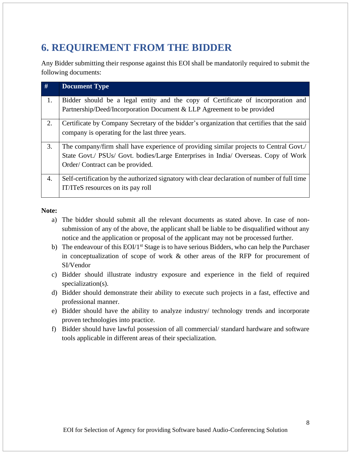# <span id="page-7-0"></span>**6. REQUIREMENT FROM THE BIDDER**

Any Bidder submitting their response against this EOI shall be mandatorily required to submit the following documents:

| #  | <b>Document Type</b>                                                                                                                                                                                            |
|----|-----------------------------------------------------------------------------------------------------------------------------------------------------------------------------------------------------------------|
| 1. | Bidder should be a legal entity and the copy of Certificate of incorporation and<br>Partnership/Deed/Incorporation Document & LLP Agreement to be provided                                                      |
| 2. | Certificate by Company Secretary of the bidder's organization that certifies that the said<br>company is operating for the last three years.                                                                    |
| 3. | The company/firm shall have experience of providing similar projects to Central Govt./<br>State Govt./ PSUs/ Govt. bodies/Large Enterprises in India/ Overseas. Copy of Work<br>Order/Contract can be provided. |
| 4. | Self-certification by the authorized signatory with clear declaration of number of full time<br>IT/ITeS resources on its pay roll                                                                               |

#### **Note:**

- a) The bidder should submit all the relevant documents as stated above. In case of nonsubmission of any of the above, the applicant shall be liable to be disqualified without any notice and the application or proposal of the applicant may not be processed further.
- b) The endeavour of this  $EOI/I^{st}$  Stage is to have serious Bidders, who can help the Purchaser in conceptualization of scope of work & other areas of the RFP for procurement of SI/Vendor
- c) Bidder should illustrate industry exposure and experience in the field of required specialization(s).
- d) Bidder should demonstrate their ability to execute such projects in a fast, effective and professional manner.
- e) Bidder should have the ability to analyze industry/ technology trends and incorporate proven technologies into practice.
- f) Bidder should have lawful possession of all commercial/ standard hardware and software tools applicable in different areas of their specialization.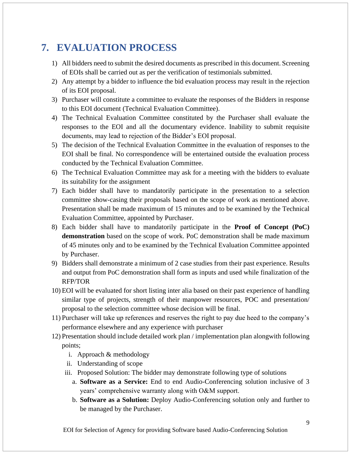# <span id="page-8-0"></span>**7. EVALUATION PROCESS**

- 1) All bidders need to submit the desired documents as prescribed in this document. Screening of EOIs shall be carried out as per the verification of testimonials submitted.
- 2) Any attempt by a bidder to influence the bid evaluation process may result in the rejection of its EOI proposal.
- 3) Purchaser will constitute a committee to evaluate the responses of the Bidders in response to this EOI document (Technical Evaluation Committee).
- 4) The Technical Evaluation Committee constituted by the Purchaser shall evaluate the responses to the EOI and all the documentary evidence. Inability to submit requisite documents, may lead to rejection of the Bidder's EOI proposal.
- 5) The decision of the Technical Evaluation Committee in the evaluation of responses to the EOI shall be final. No correspondence will be entertained outside the evaluation process conducted by the Technical Evaluation Committee.
- 6) The Technical Evaluation Committee may ask for a meeting with the bidders to evaluate its suitability for the assignment
- 7) Each bidder shall have to mandatorily participate in the presentation to a selection committee show-casing their proposals based on the scope of work as mentioned above. Presentation shall be made maximum of 15 minutes and to be examined by the Technical Evaluation Committee, appointed by Purchaser.
- 8) Each bidder shall have to mandatorily participate in the **Proof of Concept (PoC) demonstration** based on the scope of work. PoC demonstration shall be made maximum of 45 minutes only and to be examined by the Technical Evaluation Committee appointed by Purchaser.
- 9) Bidders shall demonstrate a minimum of 2 case studies from their past experience. Results and output from PoC demonstration shall form as inputs and used while finalization of the RFP/TOR
- 10) EOI will be evaluated for short listing inter alia based on their past experience of handling similar type of projects, strength of their manpower resources, POC and presentation/ proposal to the selection committee whose decision will be final.
- 11) Purchaser will take up references and reserves the right to pay due heed to the company's performance elsewhere and any experience with purchaser
- 12) Presentation should include detailed work plan / implementation plan alongwith following points;
	- i. Approach & methodology
	- ii. Understanding of scope
	- iii. Proposed Solution: The bidder may demonstrate following type of solutions
		- a. **Software as a Service:** End to end Audio-Conferencing solution inclusive of 3 years' comprehensive warranty along with O&M support.
		- b. **Software as a Solution:** Deploy Audio-Conferencing solution only and further to be managed by the Purchaser.

EOI for Selection of Agency for providing Software based Audio-Conferencing Solution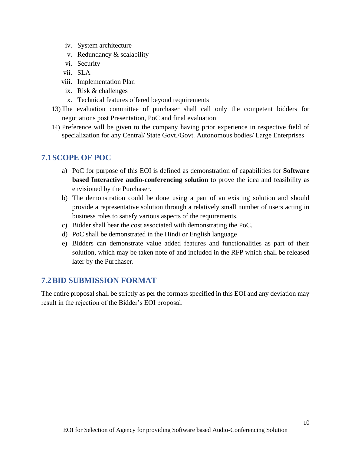- iv. System architecture
- v. Redundancy & scalability
- vi. Security
- vii. SLA
- viii. Implementation Plan
- ix. Risk & challenges
- x. Technical features offered beyond requirements
- 13) The evaluation committee of purchaser shall call only the competent bidders for negotiations post Presentation, PoC and final evaluation
- 14) Preference will be given to the company having prior experience in respective field of specialization for any Central/ State Govt./Govt. Autonomous bodies/ Large Enterprises

#### <span id="page-9-0"></span>**7.1SCOPE OF POC**

- a) PoC for purpose of this EOI is defined as demonstration of capabilities for **Software based Interactive audio-conferencing solution** to prove the idea and feasibility as envisioned by the Purchaser.
- b) The demonstration could be done using a part of an existing solution and should provide a representative solution through a relatively small number of users acting in business roles to satisfy various aspects of the requirements.
- c) Bidder shall bear the cost associated with demonstrating the PoC.
- d) PoC shall be demonstrated in the Hindi or English language
- e) Bidders can demonstrate value added features and functionalities as part of their solution, which may be taken note of and included in the RFP which shall be released later by the Purchaser.

#### <span id="page-9-1"></span>**7.2BID SUBMISSION FORMAT**

The entire proposal shall be strictly as per the formats specified in this EOI and any deviation may result in the rejection of the Bidder's EOI proposal.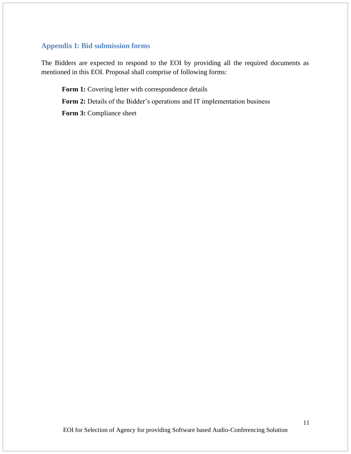#### **Appendix I: Bid submission forms**

The Bidders are expected to respond to the EOI by providing all the required documents as mentioned in this EOI. Proposal shall comprise of following forms:

Form 1: Covering letter with correspondence details Form 2: Details of the Bidder's operations and IT implementation business **Form 3: Compliance sheet**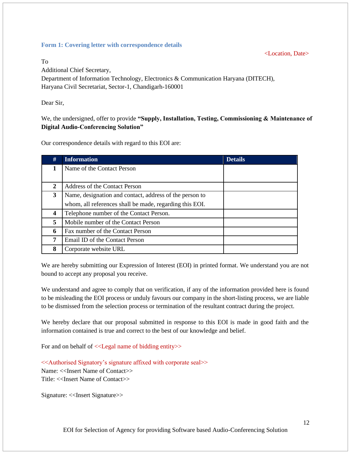#### **Form 1: Covering letter with correspondence details**

<Location, Date>

To

Additional Chief Secretary, Department of Information Technology, Electronics & Communication Haryana (DITECH), Haryana Civil Secretariat, Sector-1, Chandigarh-160001

Dear Sir,

We, the undersigned, offer to provide **"Supply, Installation, Testing, Commissioning & Maintenance of Digital Audio-Conferencing Solution"**

Our correspondence details with regard to this EOI are:

| #                       | <b>Information</b>                                      | <b>Details</b> |
|-------------------------|---------------------------------------------------------|----------------|
| 1                       | Name of the Contact Person                              |                |
|                         |                                                         |                |
| 2                       | Address of the Contact Person                           |                |
| 3                       | Name, designation and contact, address of the person to |                |
|                         | whom, all references shall be made, regarding this EOI. |                |
| $\overline{\mathbf{4}}$ | Telephone number of the Contact Person.                 |                |
| 5                       | Mobile number of the Contact Person                     |                |
| 6                       | Fax number of the Contact Person                        |                |
| 7                       | Email ID of the Contact Person                          |                |
| 8                       | Corporate website URL                                   |                |

We are hereby submitting our Expression of Interest (EOI) in printed format. We understand you are not bound to accept any proposal you receive.

We understand and agree to comply that on verification, if any of the information provided here is found to be misleading the EOI process or unduly favours our company in the short-listing process, we are liable to be dismissed from the selection process or termination of the resultant contract during the project.

We hereby declare that our proposal submitted in response to this EOI is made in good faith and the information contained is true and correct to the best of our knowledge and belief.

For and on behalf of <<Legal name of bidding entity>>

<<Authorised Signatory's signature affixed with corporate seal>> Name: <<Insert Name of Contact>> Title: <<Insert Name of Contact>>

Signature: <<Insert Signature>>

EOI for Selection of Agency for providing Software based Audio-Conferencing Solution